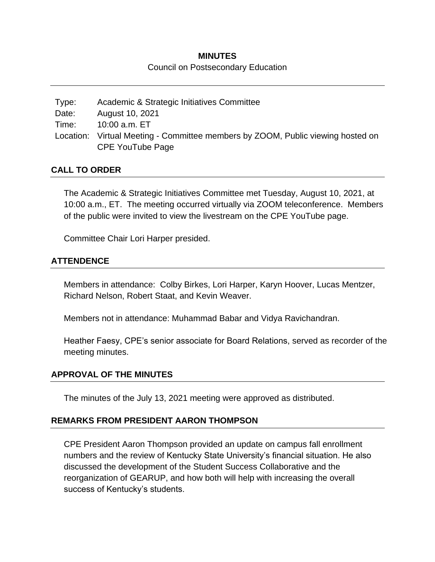## **MINUTES** Council on Postsecondary Education

Type: Academic & Strategic Initiatives Committee Date: August 10, 2021 Time: 10:00 a.m. ET Location: Virtual Meeting - Committee members by ZOOM, Public viewing hosted on CPE YouTube Page

## **CALL TO ORDER**

The Academic & Strategic Initiatives Committee met Tuesday, August 10, 2021, at 10:00 a.m., ET. The meeting occurred virtually via ZOOM teleconference. Members of the public were invited to view the livestream on the CPE YouTube page.

Committee Chair Lori Harper presided.

## **ATTENDENCE**

Members in attendance: Colby Birkes, Lori Harper, Karyn Hoover, Lucas Mentzer, Richard Nelson, Robert Staat, and Kevin Weaver.

Members not in attendance: Muhammad Babar and Vidya Ravichandran.

Heather Faesy, CPE's senior associate for Board Relations, served as recorder of the meeting minutes.

## **APPROVAL OF THE MINUTES**

The minutes of the July 13, 2021 meeting were approved as distributed.

## **REMARKS FROM PRESIDENT AARON THOMPSON**

CPE President Aaron Thompson provided an update on campus fall enrollment numbers and the review of Kentucky State University's financial situation. He also discussed the development of the Student Success Collaborative and the reorganization of GEARUP, and how both will help with increasing the overall success of Kentucky's students.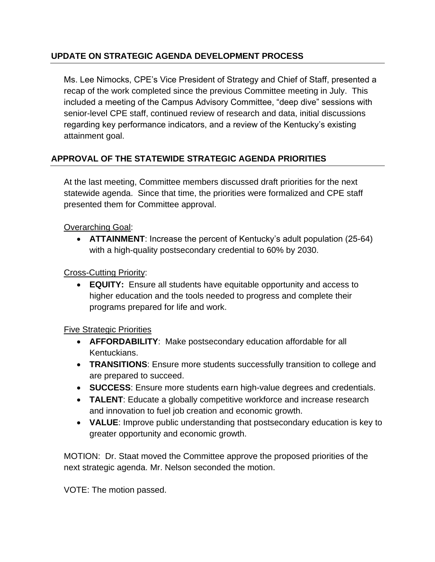# **UPDATE ON STRATEGIC AGENDA DEVELOPMENT PROCESS**

Ms. Lee Nimocks, CPE's Vice President of Strategy and Chief of Staff, presented a recap of the work completed since the previous Committee meeting in July. This included a meeting of the Campus Advisory Committee, "deep dive" sessions with senior-level CPE staff, continued review of research and data, initial discussions regarding key performance indicators, and a review of the Kentucky's existing attainment goal.

# **APPROVAL OF THE STATEWIDE STRATEGIC AGENDA PRIORITIES**

At the last meeting, Committee members discussed draft priorities for the next statewide agenda. Since that time, the priorities were formalized and CPE staff presented them for Committee approval.

Overarching Goal:

 **ATTAINMENT**: Increase the percent of Kentucky's adult population (25-64) with a high-quality postsecondary credential to 60% by 2030.

Cross-Cutting Priority:

 **EQUITY:** Ensure all students have equitable opportunity and access to higher education and the tools needed to progress and complete their programs prepared for life and work.

Five Strategic Priorities

- **AFFORDABILITY**: Make postsecondary education affordable for all Kentuckians.
- **TRANSITIONS**: Ensure more students successfully transition to college and are prepared to succeed.
- **SUCCESS**: Ensure more students earn high-value degrees and credentials.
- **TALENT:** Educate a globally competitive workforce and increase research and innovation to fuel job creation and economic growth.
- **VALUE**: Improve public understanding that postsecondary education is key to greater opportunity and economic growth.

MOTION: Dr. Staat moved the Committee approve the proposed priorities of the next strategic agenda. Mr. Nelson seconded the motion.

VOTE: The motion passed.